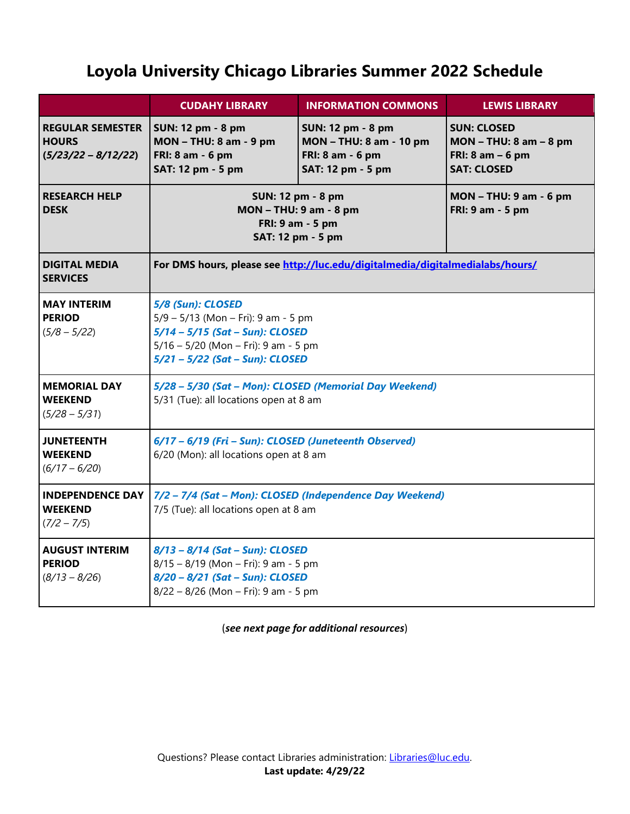## **Loyola University Chicago Libraries Summer 2022 Schedule**

|                                                                  | <b>CUDAHY LIBRARY</b>                                                                                                                                                      | <b>INFORMATION COMMONS</b>                                                                          | <b>LEWIS LIBRARY</b>                                                                        |
|------------------------------------------------------------------|----------------------------------------------------------------------------------------------------------------------------------------------------------------------------|-----------------------------------------------------------------------------------------------------|---------------------------------------------------------------------------------------------|
| <b>REGULAR SEMESTER</b><br><b>HOURS</b><br>$(5/23/22 - 8/12/22)$ | <b>SUN: 12 pm - 8 pm</b><br><b>MON - THU: 8 am - 9 pm</b><br>FRI: 8 am - 6 pm<br>SAT: 12 pm - 5 pm                                                                         | <b>SUN: 12 pm - 8 pm</b><br><b>MON - THU: 8 am - 10 pm</b><br>FRI: 8 am - 6 pm<br>SAT: 12 pm - 5 pm | <b>SUN: CLOSED</b><br>$MON - THU: 8 am - 8 pm$<br>FRI: $8$ am $-6$ pm<br><b>SAT: CLOSED</b> |
| <b>RESEARCH HELP</b><br><b>DESK</b>                              | SUN: 12 pm - 8 pm<br><b>MON - THU: 9 am - 8 pm</b><br>FRI: 9 am - 5 pm<br>SAT: 12 pm - 5 pm                                                                                |                                                                                                     | <b>MON - THU: 9 am - 6 pm</b><br>FRI: 9 am - 5 pm                                           |
| <b>DIGITAL MEDIA</b><br><b>SERVICES</b>                          | For DMS hours, please see http://luc.edu/digitalmedia/digitalmedialabs/hours/                                                                                              |                                                                                                     |                                                                                             |
| <b>MAY INTERIM</b><br><b>PERIOD</b><br>$(5/8 - 5/22)$            | 5/8 (Sun): CLOSED<br>5/9 - 5/13 (Mon - Fri): 9 am - 5 pm<br>$5/14 - 5/15$ (Sat - Sun): CLOSED<br>$5/16 - 5/20$ (Mon - Fri): 9 am - 5 pm<br>5/21 - 5/22 (Sat - Sun): CLOSED |                                                                                                     |                                                                                             |
| <b>MEMORIAL DAY</b><br><b>WEEKEND</b><br>$(5/28 - 5/31)$         | 5/28 - 5/30 (Sat - Mon): CLOSED (Memorial Day Weekend)<br>5/31 (Tue): all locations open at 8 am                                                                           |                                                                                                     |                                                                                             |
| <b>JUNETEENTH</b><br><b>WEEKEND</b><br>$(6/17 - 6/20)$           | 6/17 - 6/19 (Fri - Sun): CLOSED (Juneteenth Observed)<br>6/20 (Mon): all locations open at 8 am                                                                            |                                                                                                     |                                                                                             |
| <b>INDEPENDENCE DAY</b><br><b>WEEKEND</b><br>$(7/2 - 7/5)$       | 7/2 - 7/4 (Sat - Mon): CLOSED (Independence Day Weekend)<br>7/5 (Tue): all locations open at 8 am                                                                          |                                                                                                     |                                                                                             |
| <b>AUGUST INTERIM</b><br><b>PERIOD</b><br>$(8/13 - 8/26)$        | 8/13 - 8/14 (Sat - Sun): CLOSED<br>$8/15 - 8/19$ (Mon - Fri): 9 am - 5 pm<br>8/20 - 8/21 (Sat - Sun): CLOSED<br>8/22 - 8/26 (Mon - Fri): 9 am - 5 pm                       |                                                                                                     |                                                                                             |

(*see next page for additional resources*)